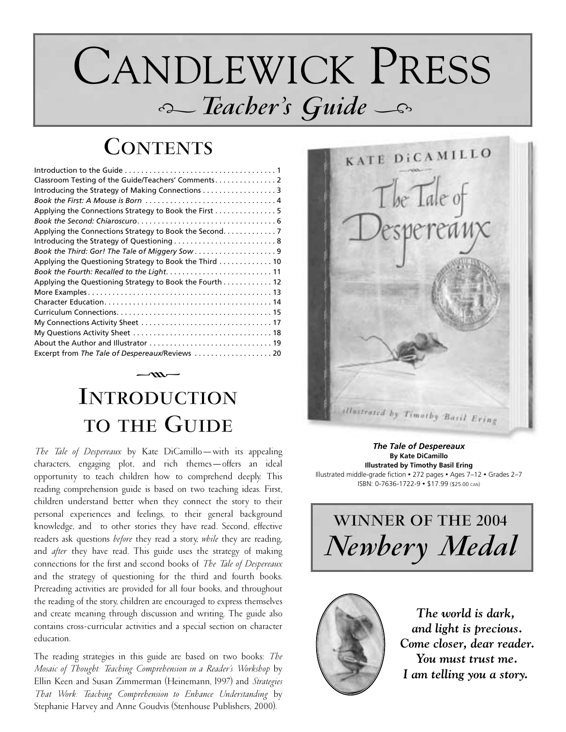# CANDLEWICK PRESS i*Teacher's Guide* <sup>i</sup>

# **CONTENTS**

| Introducing the Strategy of Making Connections 3        |
|---------------------------------------------------------|
|                                                         |
|                                                         |
|                                                         |
|                                                         |
|                                                         |
|                                                         |
| Applying the Questioning Strategy to Book the Third  10 |
|                                                         |
| Applying the Questioning Strategy to Book the Fourth 12 |
|                                                         |
|                                                         |
|                                                         |
|                                                         |
|                                                         |
|                                                         |
| Excerpt from The Tale of Despereaux/Reviews  20         |

# **INTRODUCTION TO THE GUIDE**

 $\sim$ 

*The Tale of Despereaux* by Kate DiCamillo—with its appealing characters, engaging plot, and rich themes—offers an ideal opportunity to teach children how to comprehend deeply. This reading comprehension guide is based on two teaching ideas. First, children understand better when they connect the story to their personal experiences and feelings, to their general background knowledge, and to other stories they have read. Second, effective readers ask questions *before* they read a story, *while* they are reading, and *after* they have read. This guide uses the strategy of making connections for the first and second books of *The Tale of Despereaux* and the strategy of questioning for the third and fourth books. Prereading activities are provided for all four books, and throughout the reading of the story, children are encouraged to express themselves and create meaning through discussion and writing. The guide also contains cross-curricular activities and a special section on character education.

The reading strategies in this guide are based on two books: *The Mosaic of Thought: Teaching Comprehension in a Reader's Workshop* by Ellin Keen and Susan Zimmerman (Heinemann, l997) and *Strategies That Work: Teaching Comprehension to Enhance Understanding* by Stephanie Harvey and Anne Goudvis (Stenhouse Publishers, 2000).



*The Tale of Despereaux* **By Kate DiCamillo Illustrated by Timothy Basil Ering** Illustrated middle-grade fiction • 272 pages • Ages 7–12 • Grades 2–7 ISBN: 0-7636-1722-9 • \$17.99 (\$25.00 CAN)





*The world is dark, and light is precious. Come closer, dear reader. You must trust me. I am telling you a story.*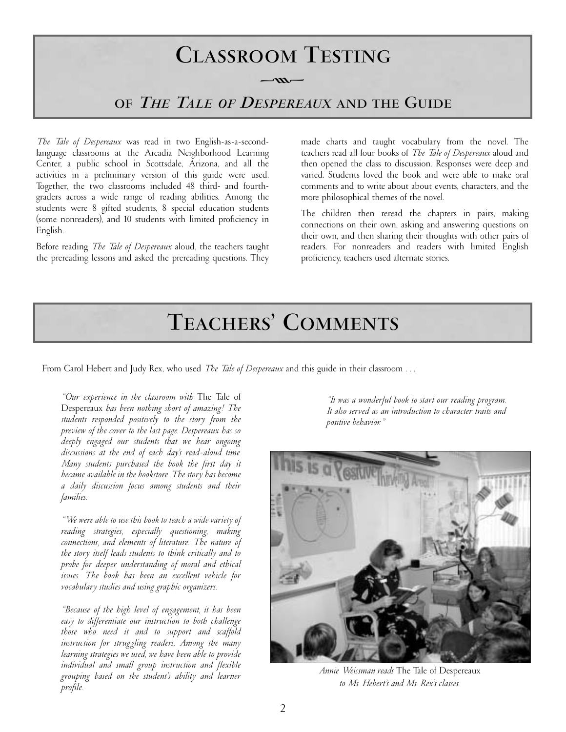

*The Tale of Despereaux* was read in two English-as-a-secondlanguage classrooms at the Arcadia Neighborhood Learning Center, a public school in Scottsdale, Arizona, and all the activities in a preliminary version of this guide were used. Together, the two classrooms included 48 third- and fourthgraders across a wide range of reading abilities. Among the students were 8 gifted students, 8 special education students (some nonreaders), and 10 students with limited proficiency in English.

Before reading *The Tale of Despereaux* aloud, the teachers taught the prereading lessons and asked the prereading questions. They

made charts and taught vocabulary from the novel. The teachers read all four books of *The Tale of Despereaux* aloud and then opened the class to discussion. Responses were deep and varied. Students loved the book and were able to make oral comments and to write about about events, characters, and the more philosophical themes of the novel.

The children then reread the chapters in pairs, making connections on their own, asking and answering questions on their own, and then sharing their thoughts with other pairs of readers. For nonreaders and readers with limited English proficiency, teachers used alternate stories.

# **TEACHERS' COMMENTS**

From Carol Hebert and Judy Rex, who used *The Tale of Despereaux* and this guide in their classroom . . .

*"Our experience in the classroom with* The Tale of Despereaux *has been nothing short of amazing! The students responded positively to the story from the preview of the cover to the last page. Despereaux has so deeply engaged our students that we hear ongoing discussions at the end of each day's read-aloud time. Many students purchased the book the first day it became available in the bookstore. The story has become a daily discussion focus among students and their families.* 

*"We were able to use this book to teach a wide variety of reading strategies, especially questioning, making connections, and elements of literature. The nature of the story itself leads students to think critically and to probe for deeper understanding of moral and ethical issues. The book has been an excellent vehicle for vocabulary studies and using graphic organizers.*

*"Because of the high level of engagement, it has been easy to differentiate our instruction to both challenge those who need it and to support and scaffold instruction for struggling readers. Among the many learning strategies we used, we have been able to provide individual and small group instruction and flexible grouping based on the student's ability and learner profile.*

*"It was a wonderful book to start our reading program. It also served as an introduction to character traits and positive behavior."*



*Annie Weissman reads* The Tale of Despereaux *to Ms. Hebert's and Ms. Rex's classes.*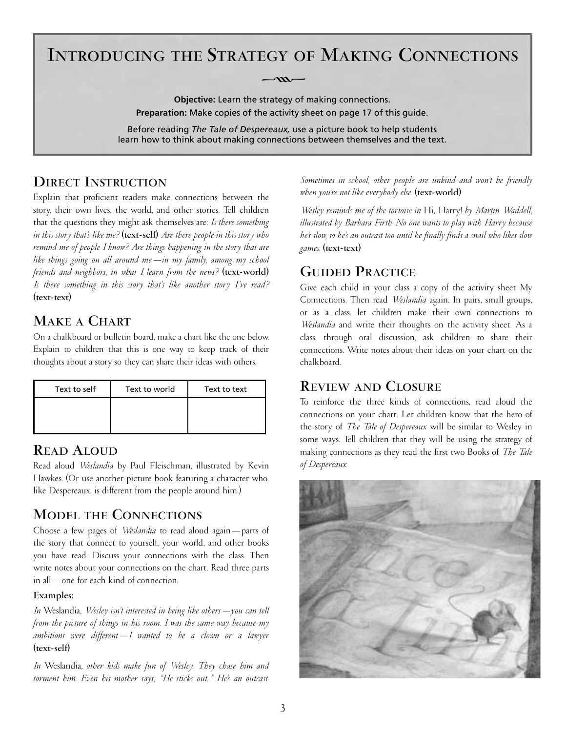## **INTRODUCING THE STRATEGY OF MAKING CONNECTIONS**

 $-m-$ 

**Objective:** Learn the strategy of making connections. **Preparation:** Make copies of the activity sheet on page 17 of this guide.

Before reading *The Tale of Despereaux,* use a picture book to help students learn how to think about making connections between themselves and the text.

### **DIRECT INSTRUCTION**

Explain that proficient readers make connections between the story, their own lives, the world, and other stories. Tell children that the questions they might ask themselves are: *Is there something in this story that's like me?* **(text-self)** *Are there people in this story who remind me of people I know? Are things happening in the story that are like things going on all around me—in my family, among my school friends and neighbors, in what I learn from the news?* **(text-world)**  *Is there something in this story that's like another story I've read?*  **(text-text)**

## **MAKE A CHART**

On a chalkboard or bulletin board, make a chart like the one below. Explain to children that this is one way to keep track of their thoughts about a story so they can share their ideas with others.

| Text to self | Text to world | Text to text |
|--------------|---------------|--------------|
|              |               |              |
|              |               |              |

## **READ ALOUD**

Read aloud *Weslandia* by Paul Fleischman, illustrated by Kevin Hawkes. (Or use another picture book featuring a character who, like Despereaux, is different from the people around him.)

## **MODEL THE CONNECTIONS**

Choose a few pages of *Weslandia* to read aloud again—parts of the story that connect to yourself, your world, and other books you have read. Discuss your connections with the class. Then write notes about your connections on the chart. Read three parts in all—one for each kind of connection.

### **Examples:**

*In* Weslandia, *Wesley isn't interested in being like others—you can tell from the picture of things in his room. I was the same way because my ambitions were different—I wanted to be a clown or a lawyer.*  **(text-self)**

*In* Weslandia, *other kids make fun of Wesley. They chase him and torment him. Even his mother says, "He sticks out." He's an outcast.*

*Sometimes in school, other people are unkind and won't be friendly when you're not like everybody else.* **(text-world)**

*Wesley reminds me of the tortoise in* Hi, Harry! *by Martin Waddell, illustrated by Barbara Firth. No one wants to play with Harry because he's slow, so he's an outcast too until he finally finds a snail who likes slow games.* **(text-text)**

## **GUIDED PRACTICE**

Give each child in your class a copy of the activity sheet My Connections. Then read *Weslandia* again. In pairs, small groups, or as a class, let children make their own connections to *Weslandia* and write their thoughts on the activity sheet. As a class, through oral discussion, ask children to share their connections. Write notes about their ideas on your chart on the chalkboard.

### **REVIEW AND CLOSURE**

To reinforce the three kinds of connections, read aloud the connections on your chart. Let children know that the hero of the story of *The Tale of Despereaux* will be similar to Wesley in some ways. Tell children that they will be using the strategy of making connections as they read the first two Books of *The Tale of Despereaux.*

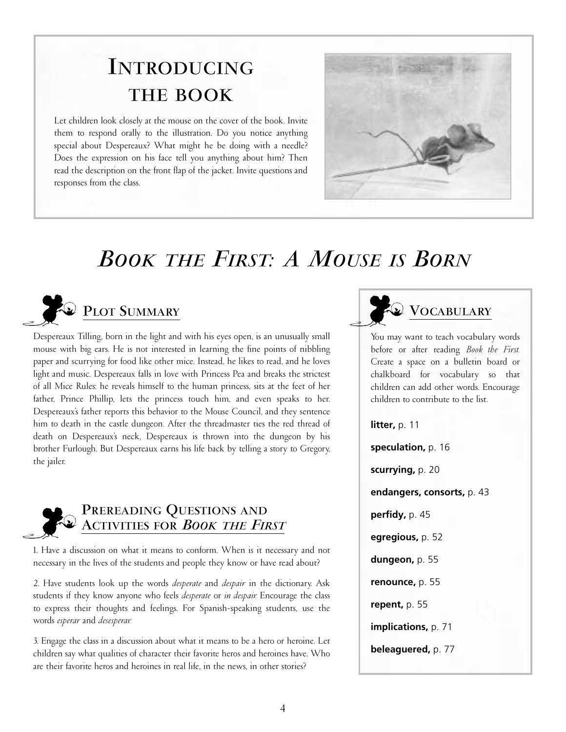# **INTRODUCING THE BOOK**

Let children look closely at the mouse on the cover of the book. Invite them to respond orally to the illustration. Do you notice anything special about Despereaux? What might he be doing with a needle? Does the expression on his face tell you anything about him? Then read the description on the front flap of the jacket. Invite questions and responses from the class.



# *BOOKTHE FIRST: A MOUSE IS BORN*



Despereaux Tilling, born in the light and with his eyes open, is an unusually small mouse with big ears. He is not interested in learning the fine points of nibbling paper and scurrying for food like other mice. Instead, he likes to read, and he loves light and music. Despereaux falls in love with Princess Pea and breaks the strictest of all Mice Rules: he reveals himself to the human princess, sits at the feet of her father, Prince Phillip, lets the princess touch him, and even speaks to her. Despereaux's father reports this behavior to the Mouse Council, and they sentence him to death in the castle dungeon. After the threadmaster ties the red thread of death on Despereaux's neck, Despereaux is thrown into the dungeon by his brother Furlough. But Despereaux earns his life back by telling a story to Gregory, the jailer.



## **PREREADING QUESTIONS AND ACTIVITIES FOR** *BOOKTHE FIRST*

1. Have a discussion on what it means to conform. When is it necessary and not necessary in the lives of the students and people they know or have read about?

2. Have students look up the words *desperate* and *despair* in the dictionary. Ask students if they know anyone who feels *desperate* or *in despair.* Encourage the class to express their thoughts and feelings. For Spanish-speaking students, use the words *esperar* and *desesperar.*

3. Engage the class in a discussion about what it means to be a hero or heroine. Let children say what qualities of character their favorite heros and heroines have. Who are their favorite heros and heroines in real life, in the news, in other stories?



You may want to teach vocabulary words before or after reading *Book the First.* Create a space on a bulletin board or chalkboard for vocabulary so that children can add other words. Encourage children to contribute to the list.

**litter,** p. 11 **speculation,** p. 16 **scurrying,** p. 20 **endangers, consorts,** p. 43 **perfidy,** p. 45 **egregious,** p. 52 **dungeon,** p. 55 **renounce,** p. 55 **repent,** p. 55 **implications,** p. 71 **beleaguered,** p. 77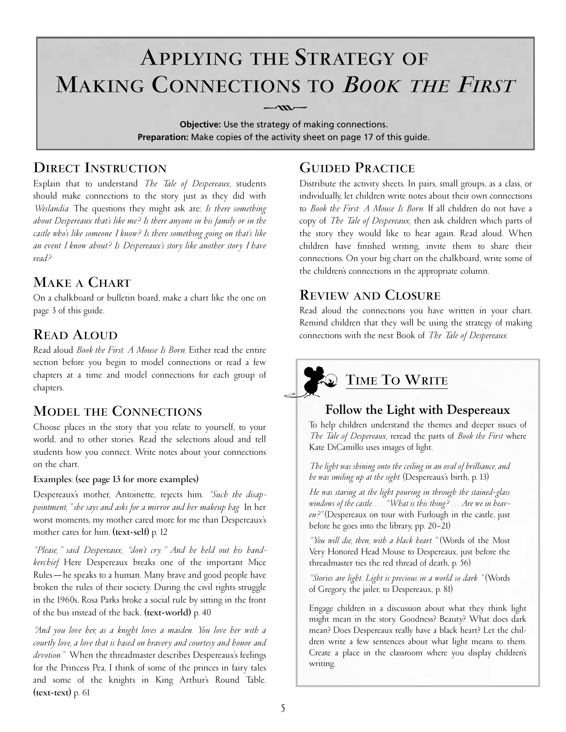# **APPLYING THE STRATEGY OF MAKING CONNECTIONS TO** *BOOKTHE FIRST*  $-\frac{m}{\sqrt{m}}$

**Objective:** Use the strategy of making connections. **Preparation:** Make copies of the activity sheet on page 17 of this guide.

## **DIRECT INSTRUCTION**

Explain that to understand *The Tale of Despereaux,* students should make connections to the story just as they did with *Weslandia.* The questions they might ask are: *Is there something about Despereaux that's like me? Is there anyone in his family or in the castle who's like someone I know? Is there something going on that's like an event I know about? Is Despereaux's story like another story I have read?*

## **MAKE A CHART**

On a chalkboard or bulletin board, make a chart like the one on page 3 of this guide.

## **READ ALOUD**

Read aloud *Book the First: A Mouse Is Born.* Either read the entire section before you begin to model connections or read a few chapters at a time and model connections for each group of chapters.

## **MODEL THE CONNECTIONS**

Choose places in the story that you relate to yourself, to your world, and to other stories. Read the selections aloud and tell students how you connect. Write notes about your connections on the chart.

### **Examples**: **(see page 13 for more examples)**

Despereaux's mother, Antoinette, rejects him. *"Such the disappointment," she says and asks for a mirror and her makeup bag.* In her worst moments, my mother cared more for me than Despereaux's mother cares for him. **(text-self)** p. 12

*"Please," said Despereaux, "don't cry." And he held out his handkerchief.* Here Despereaux breaks one of the important Mice Rules—he speaks to a human. Many brave and good people have broken the rules of their society. During the civil rights struggle in the 1960s, Rosa Parks broke a social rule by sitting in the front of the bus instead of the back. **(text-world)** p. 40

*"And you love her, as a knight loves a maiden. You love her with a courtly love, a love that is based on bravery and courtesy and honor and devotion."* When the threadmaster describes Despereaux's feelings for the Princess Pea, I think of some of the princes in fairy tales and some of the knights in King Arthur's Round Table. **(text-text)** p. 61

## **GUIDED PRACTICE**

Distribute the activity sheets. In pairs, small groups, as a class, or individually, let children write notes about their own connections to *Book the First: A Mouse Is Born.* If all children do not have a copy of *The Tale of Despereaux,* then ask children which parts of the story they would like to hear again. Read aloud. When children have finished writing, invite them to share their connections. On your big chart on the chalkboard, write some of the children's connections in the appropriate column.

## **REVIEW AND CLOSURE**

Read aloud the connections you have written in your chart. Remind children that they will be using the strategy of making connections with the next Book of *The Tale of Despereaux.*

## **TIME TO WRITE**

### **Follow the Light with Despereaux**

To help children understand the themes and deeper issues of *The Tale of Despereaux,* reread the parts of *Book the First* where Kate DiCamillo uses images of light.

*The light was shining onto the ceiling in an oval of brilliance, and he was smiling up at the sight.* (Despereaux's birth, p. 13)

*He was staring at the light pouring in through the stained-glass windows of the castle. . . . "What is this thing? . . . Are we in heaven?"* (Despereaux on tour with Furlough in the castle, just before he goes into the library, pp. 20–21)

*"You will die, then, with a black heart."* (Words of the Most Very Honored Head Mouse to Despereaux, just before the threadmaster ties the red thread of death, p. 56)

*"Stories are light. Light is precious in a world so dark."* (Words of Gregory, the jailer, to Despereaux, p. 81)

Engage children in a discussion about what they think light might mean in the story. Goodness? Beauty? What does dark mean? Does Despereaux really have a black heart? Let the children write a few sentences about what light means to them. Create a place in the classroom where you display children's writing.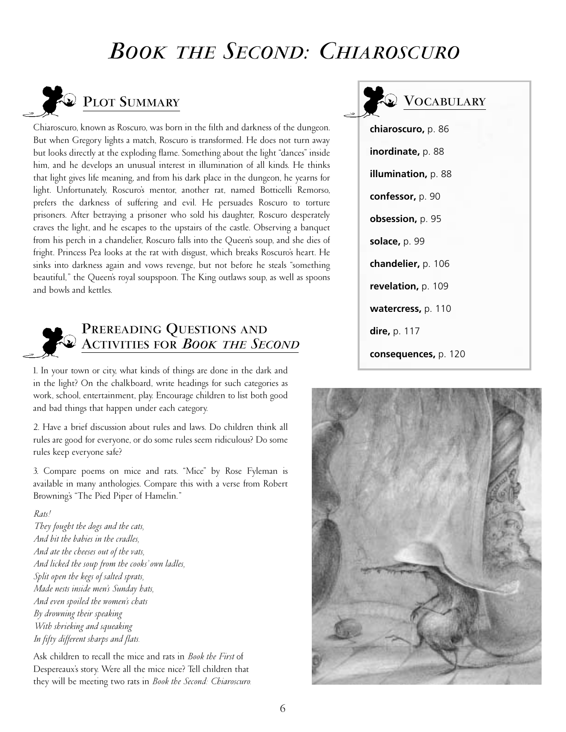## *BOOKTHE SECOND: CHIAROSCURO*



Chiaroscuro, known as Roscuro, was born in the filth and darkness of the dungeon. But when Gregory lights a match, Roscuro is transformed. He does not turn away but looks directly at the exploding flame. Something about the light "dances" inside him, and he develops an unusual interest in illumination of all kinds. He thinks that light gives life meaning, and from his dark place in the dungeon, he yearns for light. Unfortunately, Roscuro's mentor, another rat, named Botticelli Remorso, prefers the darkness of suffering and evil. He persuades Roscuro to torture prisoners. After betraying a prisoner who sold his daughter, Roscuro desperately craves the light, and he escapes to the upstairs of the castle. Observing a banquet from his perch in a chandelier, Roscuro falls into the Queen's soup, and she dies of fright. Princess Pea looks at the rat with disgust, which breaks Roscuro's heart. He sinks into darkness again and vows revenge, but not before he steals "something beautiful," the Queen's royal soupspoon. The King outlaws soup, as well as spoons and bowls and kettles.



### **PREREADING QUESTIONS AND ACTIVITIES FOR** *BOOKTHE SECOND*

1. In your town or city, what kinds of things are done in the dark and in the light? On the chalkboard, write headings for such categories as work, school, entertainment, play. Encourage children to list both good and bad things that happen under each category.

2. Have a brief discussion about rules and laws. Do children think all rules are good for everyone, or do some rules seem ridiculous? Do some rules keep everyone safe?

3. Compare poems on mice and rats. "Mice" by Rose Fyleman is available in many anthologies. Compare this with a verse from Robert Browning's "The Pied Piper of Hamelin."

#### *Rats!*

*They fought the dogs and the cats, And bit the babies in the cradles, And ate the cheeses out of the vats, And licked the soup from the cooks' own ladles, Split open the kegs of salted sprats, Made nests inside men's Sunday hats, And even spoiled the women's chats By drowning their speaking With shrieking and squeaking In fifty different sharps and flats.*

Ask children to recall the mice and rats in *Book the First* of Despereaux's story. Were all the mice nice? Tell children that they will be meeting two rats in *Book the Second: Chiaroscuro.* 



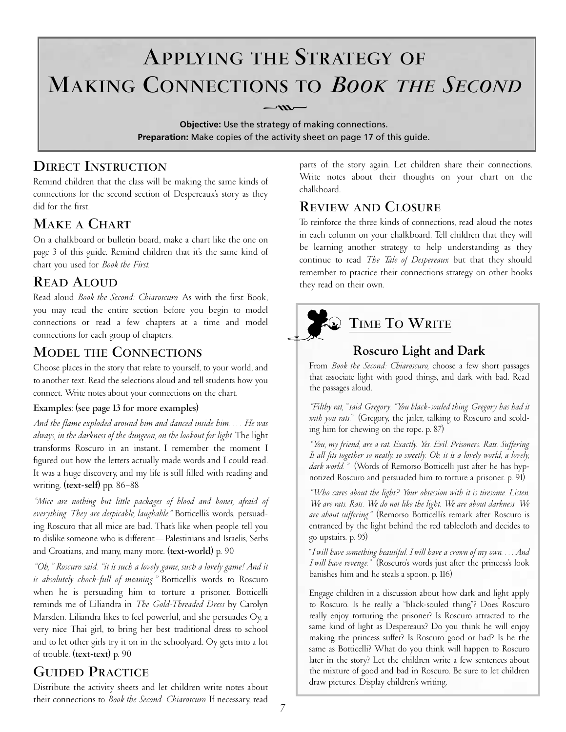# **APPLYING THE STRATEGY OF MAKING CONNECTIONS TO** *BOOKTHE SECOND*  $-\frac{m}{\sqrt{m}}$

**Objective:** Use the strategy of making connections. **Preparation:** Make copies of the activity sheet on page 17 of this guide.

## **DIRECT INSTRUCTION**

Remind children that the class will be making the same kinds of connections for the second section of Despereaux's story as they did for the first.

## **MAKE A CHART**

On a chalkboard or bulletin board, make a chart like the one on page 3 of this guide. Remind children that it's the same kind of chart you used for *Book the First.*

## **READ ALOUD**

Read aloud *Book the Second: Chiaroscuro.* As with the first Book, you may read the entire section before you begin to model connections or read a few chapters at a time and model connections for each group of chapters.

## **MODEL THE CONNECTIONS**

Choose places in the story that relate to yourself, to your world, and to another text. Read the selections aloud and tell students how you connect. Write notes about your connections on the chart.

### **Examples**: **(see page 13 for more examples)**

*And the flame exploded around him and danced inside him. . . . He was always, in the darkness of the dungeon, on the lookout for light.* The light transforms Roscuro in an instant. I remember the moment I figured out how the letters actually made words and I could read. It was a huge discovery, and my life is still filled with reading and writing. **(text-self)** pp. 86–88

*"Mice are nothing but little packages of blood and bones, afraid of everything. They are despicable, laughable."* Botticelli's words, persuading Roscuro that all mice are bad. That's like when people tell you to dislike someone who is different—Palestinians and Israelis, Serbs and Croatians, and many, many more. **(text-world)** p. 90

*"Oh," Roscuro said. "it is such a lovely game, such a lovely game! And it is absolutely chock-full of meaning."* Botticelli's words to Roscuro when he is persuading him to torture a prisoner. Botticelli reminds me of Liliandra in *The Gold-Threaded Dress* by Carolyn Marsden. Liliandra likes to feel powerful, and she persuades Oy, a very nice Thai girl, to bring her best traditional dress to school and to let other girls try it on in the schoolyard. Oy gets into a lot of trouble. **(text-text)** p. 90

## **GUIDED PRACTICE**

Distribute the activity sheets and let children write notes about their connections to *Book the Second: Chiaroscuro.* If necessary, read

parts of the story again. Let children share their connections. Write notes about their thoughts on your chart on the chalkboard.

## **REVIEW AND CLOSURE**

To reinforce the three kinds of connections, read aloud the notes in each column on your chalkboard. Tell children that they will be learning another strategy to help understanding as they continue to read *The Tale of Despereaux* but that they should remember to practice their connections strategy on other books they read on their own.



## **TIME TO WRITE**

## **Roscuro Light and Dark**

From *Book the Second: Chiaroscuro,* choose a few short passages that associate light with good things, and dark with bad. Read the passages aloud.

*"Filthy rat," said Gregory. "You black-souled thing. Gregory has had it with you rats."* (Gregory, the jailer, talking to Roscuro and scolding him for chewing on the rope. p. 87)

*"You, my friend, are a rat. Exactly. Yes. Evil. Prisoners. Rats. Suffering. It all fits together so neatly, so sweetly. Oh, it is a lovely world, a lovely, dark world."* (Words of Remorso Botticelli just after he has hypnotized Roscuro and persuaded him to torture a prisoner. p. 91)

*"Who cares about the light? Your obsession with it is tiresome. Listen. We are rats. Rats. We do not like the light. We are about darkness. We are about suffering."* (Remorso Botticelli's remark after Roscuro is entranced by the light behind the red tablecloth and decides to go upstairs. p. 95)

"*I will have something beautiful. I will have a crown of my own. . . . And I will have revenge."* (Roscuro's words just after the princess's look banishes him and he steals a spoon. p. 116)

Engage children in a discussion about how dark and light apply to Roscuro. Is he really a "black-souled thing"? Does Roscuro really enjoy torturing the prisoner? Is Roscuro attracted to the same kind of light as Despereaux? Do you think he will enjoy making the princess suffer? Is Roscuro good or bad? Is he the same as Botticelli? What do you think will happen to Roscuro later in the story? Let the children write a few sentences about the mixture of good and bad in Roscuro. Be sure to let children draw pictures. Display children's writing.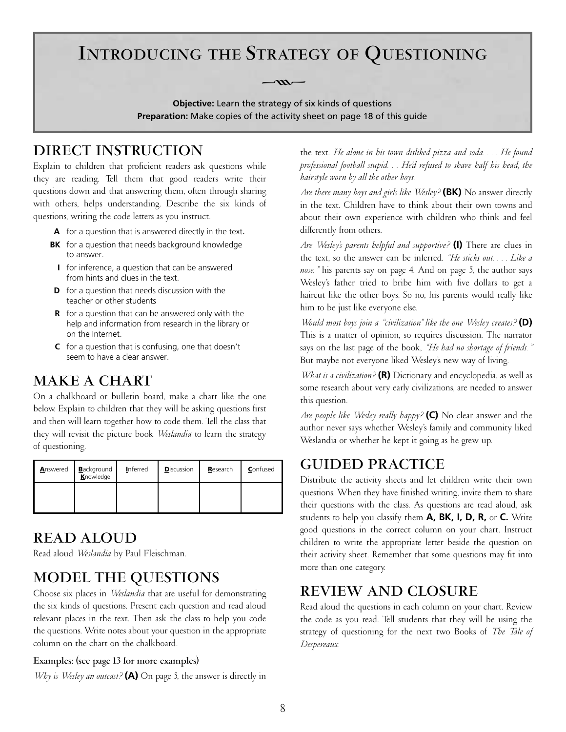## **INTRODUCING THE STRATEGY OF QUESTIONING**

**Objective:** Learn the strategy of six kinds of questions **Preparation:** Make copies of the activity sheet on page 18 of this guide

 $-\infty$ 

## **DIRECT INSTRUCTION**

Explain to children that proficient readers ask questions while they are reading. Tell them that good readers write their questions down and that answering them, often through sharing with others, helps understanding. Describe the six kinds of questions, writing the code letters as you instruct.

- **A** for a question that is answered directly in the text.
- **BK** for a question that needs background knowledge to answer.
	- **I** for inference, a question that can be answered from hints and clues in the text.
- **D** for a question that needs discussion with the teacher or other students
- **R** for a question that can be answered only with the help and information from research in the library or on the Internet.
- **C** for a question that is confusing, one that doesn't seem to have a clear answer.

### **MAKE A CHART**

On a chalkboard or bulletin board, make a chart like the one below. Explain to children that they will be asking questions first and then will learn together how to code them. Tell the class that they will revisit the picture book *Weslandia* to learn the strategy of questioning.

| Answered | <b>B</b> ackground<br>Knowledge | Inferred | <b>Discussion</b> | Research | Confused |
|----------|---------------------------------|----------|-------------------|----------|----------|
|          |                                 |          |                   |          |          |

## **READ ALOUD**

Read aloud *Weslandia* by Paul Fleischman.

## **MODEL THE QUESTIONS**

Choose six places in *Weslandia* that are useful for demonstrating the six kinds of questions. Present each question and read aloud relevant places in the text. Then ask the class to help you code the questions. Write notes about your question in the appropriate column on the chart on the chalkboard.

#### **Examples: (see page 13 for more examples)**

*Why is Wesley an outcast?* **(A)** On page 5, the answer is directly in

the text. *He alone in his town disliked pizza and soda. . . . He found professional football stupid. . . He'd refused to shave half his head, the hairstyle worn by all the other boys.*

*Are there many boys and girls like Wesley?* **(BK)** No answer directly in the text. Children have to think about their own towns and about their own experience with children who think and feel differently from others.

*Are Wesley's parents helpful and supportive?* **(I)** There are clues in the text, so the answer can be inferred. *"He sticks out. . . . Like a nose,"* his parents say on page 4. And on page 5, the author says Wesley's father tried to bribe him with five dollars to get a haircut like the other boys. So no, his parents would really like him to be just like everyone else.

*Would most boys join a "civilization" like the one Wesley creates?* **(D)** This is a matter of opinion, so requires discussion. The narrator says on the last page of the book, *"He had no shortage of friends."* But maybe not everyone liked Wesley's new way of living.

*What is a civilization?* **(R)** Dictionary and encyclopedia, as well as some research about very early civilizations, are needed to answer this question.

*Are people like Wesley really happy?* **(C)** No clear answer and the author never says whether Wesley's family and community liked Weslandia or whether he kept it going as he grew up.

### **GUIDED PRACTICE**

Distribute the activity sheets and let children write their own questions. When they have finished writing, invite them to share their questions with the class. As questions are read aloud, ask students to help you classify them **A, BK, I, D, R,** or **C.** Write good questions in the correct column on your chart. Instruct children to write the appropriate letter beside the question on their activity sheet. Remember that some questions may fit into more than one category.

## **REVIEW AND CLOSURE**

Read aloud the questions in each column on your chart. Review the code as you read. Tell students that they will be using the strategy of questioning for the next two Books of *The Tale of Despereaux.*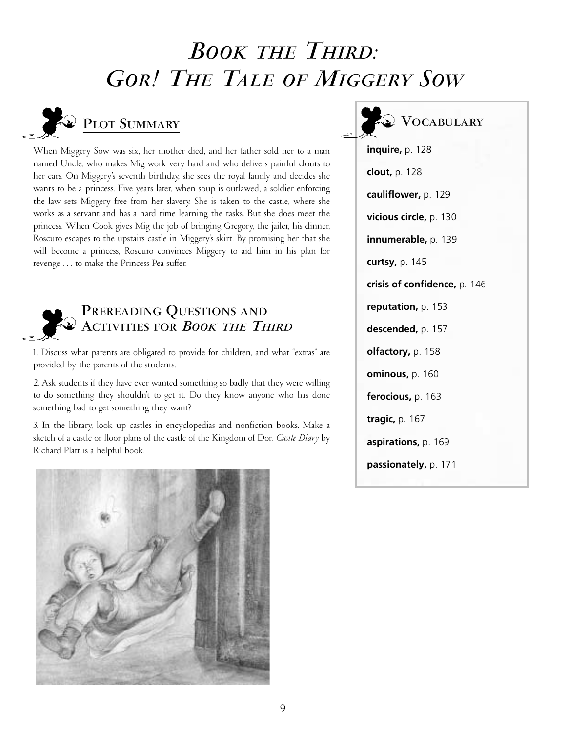# *BOOKTHE THIRD: GOR! THE TALE OF MIGGERY SOW*



## **PLOT SUMMARY**

When Miggery Sow was six, her mother died, and her father sold her to a man named Uncle, who makes Mig work very hard and who delivers painful clouts to her ears. On Miggery's seventh birthday, she sees the royal family and decides she wants to be a princess. Five years later, when soup is outlawed, a soldier enforcing the law sets Miggery free from her slavery. She is taken to the castle, where she works as a servant and has a hard time learning the tasks. But she does meet the princess. When Cook gives Mig the job of bringing Gregory, the jailer, his dinner, Roscuro escapes to the upstairs castle in Miggery's skirt. By promising her that she will become a princess, Roscuro convinces Miggery to aid him in his plan for revenge . . . to make the Princess Pea suffer.



## **PREREADING QUESTIONS AND ACTIVITIES FOR** *BOOKTHE THIRD*

1. Discuss what parents are obligated to provide for children, and what "extras" are provided by the parents of the students.

2. Ask students if they have ever wanted something so badly that they were willing to do something they shouldn't to get it. Do they know anyone who has done something bad to get something they want?

3. In the library, look up castles in encyclopedias and nonfiction books. Make a sketch of a castle or floor plans of the castle of the Kingdom of Dor. *Castle Diary* by Richard Platt is a helpful book.



## **VOCABULARY**

**inquire,** p. 128 **clout,** p. 128 **cauliflower,** p. 129 **vicious circle,** p. 130 **innumerable,** p. 139 **curtsy,** p. 145 **crisis of confidence,** p. 146 **reputation,** p. 153 **descended,** p. 157 **olfactory,** p. 158 **ominous,** p. 160 **ferocious,** p. 163 **tragic,** p. 167 **aspirations,** p. 169 **passionately,** p. 171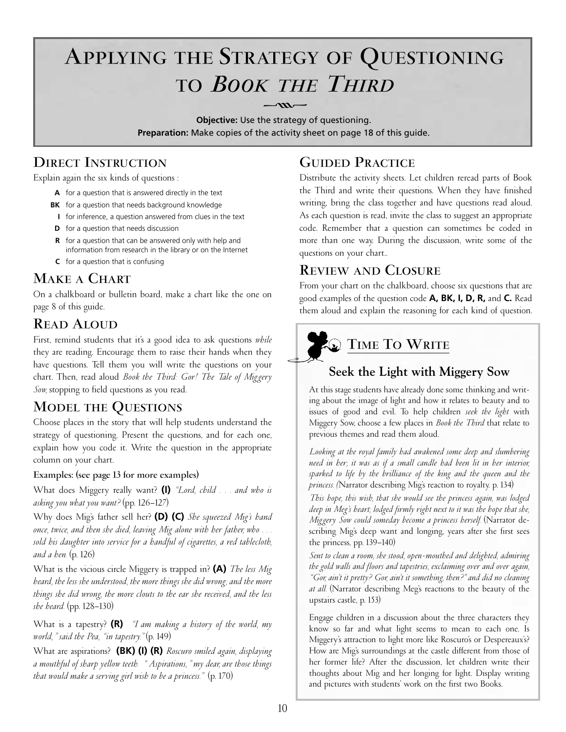# **APPLYING THE STRATEGY OF QUESTIONING TO** *BOOKTHE THIRD*

**Objective:** Use the strategy of questioning. **Preparation:** Make copies of the activity sheet on page 18 of this guide.

## **DIRECT INSTRUCTION**

Explain again the six kinds of questions :

- **A** for a question that is answered directly in the text
- **BK** for a question that needs background knowledge
- **I** for inference, a question answered from clues in the text
- **D** for a question that needs discussion
- **R** for a question that can be answered only with help and information from research in the library or on the Internet
- **C** for a question that is confusing

## **MAKE A CHART**

On a chalkboard or bulletin board, make a chart like the one on page 8 of this guide.

## **READ ALOUD**

First, remind students that it's a good idea to ask questions *while* they are reading. Encourage them to raise their hands when they have questions. Tell them you will write the questions on your chart. Then, read aloud *Book the Third: Gor! The Tale of Miggery Sow,* stopping to field questions as you read.

## **MODEL THE QUESTIONS**

Choose places in the story that will help students understand the strategy of questioning. Present the questions, and for each one, explain how you code it. Write the question in the appropriate column on your chart.

### **Examples: (see page 13 for more examples)**

What does Miggery really want? **(I)** *"Lord, child . . . and who is asking you what you want?* (pp. 126–127)

Why does Mig's father sell her? **(D) (C)** *She squeezed Mig's hand once, twice, and then she died, leaving Mig alone with her father, who . . . sold his daughter into service for a handful of cigarettes, a red tablecloth, and a hen.* (p. 126)

What is the vicious circle Miggery is trapped in? **(A)** *The less Mig heard, the less she understood, the more things she did wrong; and the more things she did wrong, the more clouts to the ear she received, and the less she heard.* (pp. 128–130)

What is a tapestry? **(R)** *"I am making a history of the world, my world," said the Pea, "in tapestry."* (p. 149)

What are aspirations? **(BK) (I) (R)** *Roscuro smiled again, displaying a mouthful of sharp yellow teeth. " Aspirations," my dear, are those things that would make a serving girl wish to be a princess."* (p. 170)

## **GUIDED PRACTICE**

Distribute the activity sheets. Let children reread parts of Book the Third and write their questions. When they have finished writing, bring the class together and have questions read aloud. As each question is read, invite the class to suggest an appropriate code. Remember that a question can sometimes be coded in more than one way. During the discussion, write some of the questions on your chart..

## **REVIEW AND CLOSURE**

From your chart on the chalkboard, choose six questions that are good examples of the question code **A, BK, I, D, R,** and **C.** Read them aloud and explain the reasoning for each kind of question.



## **TIME TO WRITE**

## **Seek the Light with Miggery Sow**

At this stage students have already done some thinking and writing about the image of light and how it relates to beauty and to issues of good and evil. To help children *seek the light* with Miggery Sow, choose a few places in *Book the Third* that relate to previous themes and read them aloud.

*Looking at the royal family had awakened some deep and slumbering need in her; it was as if a small candle had been lit in her interior, sparked to life by the brilliance of the king and the queen and the princess. (*Narrator describing Mig's reaction to royalty. p. 134)

*This hope, this wish, that she would see the princess again, was lodged deep in Meg's heart; lodged firmly right next to it was the hope that she, Miggery Sow could someday become a princess herself.* (Narrator describing Mig's deep want and longing, years after she first sees the princess, pp. 139–140)

*Sent to clean a room, she stood, open- mouthed and delighted, admiring the gold walls and floors and tapestries, exclaiming over and over again, "Gor, ain't it pretty? Gor, ain't it something, then?" and did no cleaning at all.* (Narrator describing Meg's reactions to the beauty of the upstairs castle, p. 153)

Engage children in a discussion about the three characters they know so far and what light seems to mean to each one. Is Miggery's attraction to light more like Roscuro's or Despereaux's? How are Mig's surroundings at the castle different from those of her former life? After the discussion, let children write their thoughts about Mig and her longing for light. Display writing and pictures with students' work on the first two Books.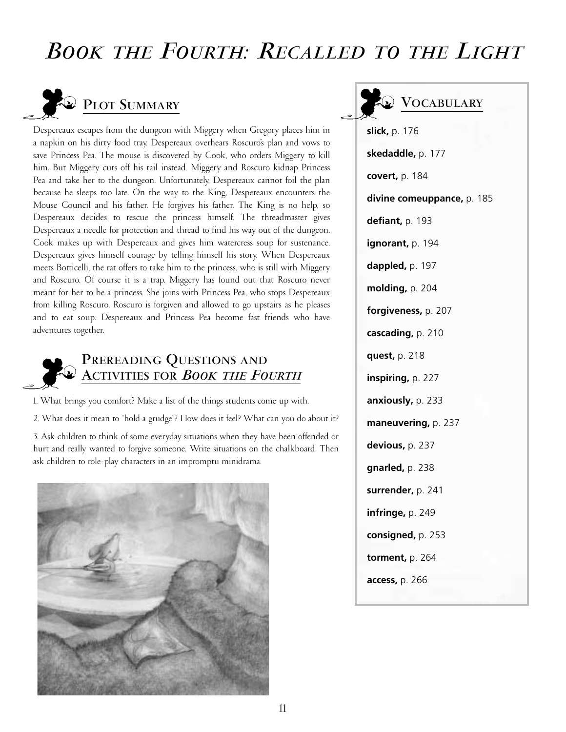## *BOOKTHE FOURTH: RECALLED TO THE LIGHT*



Despereaux escapes from the dungeon with Miggery when Gregory places him in a napkin on his dirty food tray. Despereaux overhears Roscuro's plan and vows to save Princess Pea. The mouse is discovered by Cook, who orders Miggery to kill him. But Miggery cuts off his tail instead. Miggery and Roscuro kidnap Princess Pea and take her to the dungeon. Unfortunately, Despereaux cannot foil the plan because he sleeps too late. On the way to the King, Despereaux encounters the Mouse Council and his father. He forgives his father. The King is no help, so Despereaux decides to rescue the princess himself. The threadmaster gives Despereaux a needle for protection and thread to find his way out of the dungeon. Cook makes up with Despereaux and gives him watercress soup for sustenance. Despereaux gives himself courage by telling himself his story. When Despereaux meets Botticelli, the rat offers to take him to the princess, who is still with Miggery and Roscuro. Of course it is a trap. Miggery has found out that Roscuro never meant for her to be a princess. She joins with Princess Pea, who stops Despereaux from killing Roscuro. Roscuro is forgiven and allowed to go upstairs as he pleases and to eat soup. Despereaux and Princess Pea become fast friends who have adventures together.



### **PREREADING QUESTIONS AND ACTIVITIES FOR** *BOOKTHE FOURTH*

1. What brings you comfort? Make a list of the things students come up with.

2. What does it mean to "hold a grudge"? How does it feel? What can you do about it?

3. Ask children to think of some everyday situations when they have been offended or hurt and really wanted to forgive someone. Write situations on the chalkboard. Then ask children to role-play characters in an impromptu minidrama.



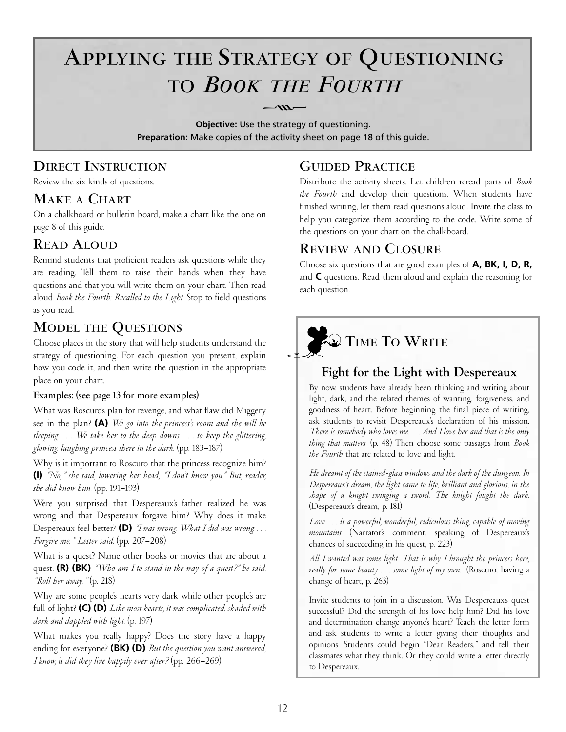# **APPLYING THE STRATEGY OF QUESTIONING** TO **BOOK THE FOURTH**  $-m-$

**Objective:** Use the strategy of questioning. **Preparation:** Make copies of the activity sheet on page 18 of this guide.

## **DIRECT INSTRUCTION**

Review the six kinds of questions.

### **MAKE A CHART**

On a chalkboard or bulletin board, make a chart like the one on page 8 of this guide.

## **READ ALOUD**

Remind students that proficient readers ask questions while they are reading. Tell them to raise their hands when they have questions and that you will write them on your chart. Then read aloud *Book the Fourth: Recalled to the Light.* Stop to field questions as you read.

## **MODEL THE QUESTIONS**

Choose places in the story that will help students understand the strategy of questioning. For each question you present, explain how you code it, and then write the question in the appropriate place on your chart.

### **Examples: (see page 13 for more examples)**

What was Roscuro's plan for revenge, and what flaw did Miggery see in the plan? **(A)** *We go into the princess's room and she will be sleeping. . . . We take her to the deep downs. . . . to keep the glittering, glowing, laughing princess there in the dark.* (pp. 183–187)

Why is it important to Roscuro that the princess recognize him? **(I)** *"No," she said, lowering her head, "I don't know you." But, reader, she did know him.* (pp. 191–193)

Were you surprised that Despereaux's father realized he was wrong and that Despereaux forgave him? Why does it make Despereaux feel better? **(D)** *"I was wrong. What I did was wrong. . . . Forgive me," Lester said.* (pp. 207–208)

What is a quest? Name other books or movies that are about a quest. **(R) (BK)** *"Who am I to stand in the way of a quest?" he said. "Roll her away."* (p. 218)

Why are some people's hearts very dark while other people's are full of light? **(C) (D)** *Like most hearts, it was complicated, shaded with dark and dappled with light.* (p. 197)

What makes you really happy? Does the story have a happy ending for everyone? **(BK) (D)** *But the question you want answered, I know, is did they live happily ever after?* (pp. 266–269)

## **GUIDED PRACTICE**

Distribute the activity sheets. Let children reread parts of *Book the Fourth* and develop their questions. When students have finished writing, let them read questions aloud. Invite the class to help you categorize them according to the code. Write some of the questions on your chart on the chalkboard.

### **REVIEW AND CLOSURE**

Choose six questions that are good examples of **A, BK, I, D, R,** and **C** questions. Read them aloud and explain the reasoning for each question.

# **TIME TO WRITE**

## **Fight for the Light with Despereaux**

By now, students have already been thinking and writing about light, dark, and the related themes of wanting, forgiveness, and goodness of heart. Before beginning the final piece of writing, ask students to revisit Despereaux's declaration of his mission. *There is somebody who loves me. . . . And I love her and that is the only thing that matters.* (p. 48) Then choose some passages from *Book the Fourth* that are related to love and light.

*He dreamt of the stained-glass windows and the dark of the dungeon. In Despereaux's dream, the light came to life, brilliant and glorious, in the shape of a knight swinging a sword. The knight fought the dark.* (Despereaux's dream, p. 181)

*Love . . . is a powerful, wonderful, ridiculous thing, capable of moving mountains.* (Narrator's comment, speaking of Despereaux's chances of succeeding in his quest, p. 223)

*All I wanted was some light. That is why I brought the princess here, really for some beauty . . . some light of my own.* (Roscuro, having a change of heart, p. 263)

Invite students to join in a discussion. Was Despereaux's quest successful? Did the strength of his love help him? Did his love and determination change anyone's heart? Teach the letter form and ask students to write a letter giving their thoughts and opinions. Students could begin "Dear Readers," and tell their classmates what they think. Or they could write a letter directly to Despereaux.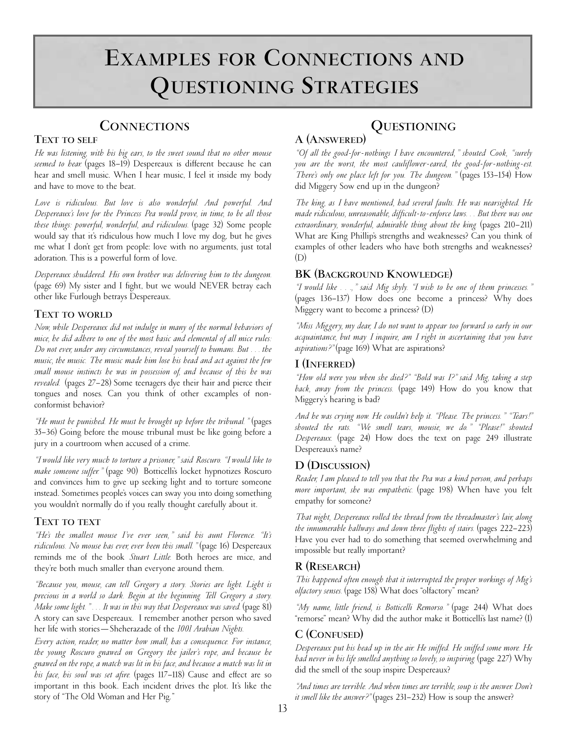# **EXAMPLES FOR CONNECTIONS AND QUESTIONING STRATEGIES**

### **CONNECTIONS**

### **TEXT TO SELF**

*He was listening, with his big ears, to the sweet sound that no other mouse seemed to hear.* (pages 18–19) Despereaux is different because he can hear and smell music. When I hear music, I feel it inside my body and have to move to the beat.

*Love is ridiculous. But love is also wonderful. And powerful. And Despereaux's love for the Princess Pea would prove, in time, to be all those these things: powerful, wonderful, and ridiculous.* (page 32) Some people would say that it's ridiculous how much I love my dog, but he gives me what I don't get from people: love with no arguments, just total adoration. This is a powerful form of love.

*Despereaux shuddered. His own brother was delivering him to the dungeon.* (page 69) My sister and I fight, but we would NEVER betray each other like Furlough betrays Despereaux.

### **TEXT TO WORLD**

*Now, while Despereaux did not indulge in many of the normal behaviors of mice, he did adhere to one of the most basic and elemental of all mice rules: Do not ever, under any circumstances, reveal yourself to humans. But . . . the music, the music. The music made him lose his head and act against the few small mouse instincts he was in possession of, and because of this he was revealed.* (pages 27–28) Some teenagers dye their hair and pierce their tongues and noses. Can you think of other excamples of nonconformist behavior?

*"He must be punished. He must be brought up before the tribunal."* (pages 35–36) Going before the mouse tribunal must be like going before a jury in a courtroom when accused of a crime.

*"I would like very much to torture a prisoner," said Roscuro. "I would like to make someone suffer."* (page 90) Botticelli's locket hypnotizes Roscuro and convinces him to give up seeking light and to torture someone instead. Sometimes people's voices can sway you into doing something you wouldn't normally do if you really thought carefully about it.

#### **TEXT TO TEXT**

*"He's the smallest mouse I've ever seen," said his aunt Florence. "It's ridiculous. No mouse has ever, ever been this small."* (page 16) Despereaux reminds me of the book *Stuart Little.* Both heroes are mice, and they're both much smaller than everyone around them.

*"Because you, mouse, can tell Gregory a story. Stories are light. Light is precious in a world so dark. Begin at the beginning. Tell Gregory a story. Make some light."... It was in this way that Despereaux was saved.* (page 81) A story can save Despereaux. I remember another person who saved her life with stories—Sheherazade of the *1001 Arabian Nights.* 

*Every action, reader, no matter how small, has a consequence. For instance, the young Roscuro gnawed on Gregory the jailer's rope, and because he gnawed on the rope, a match was lit in his face, and because a match was lit in his face, his soul was set afire.* (pages 117–118) Cause and effect are so important in this book. Each incident drives the plot. It's like the story of "The Old Woman and Her Pig."

## **QUESTIONING**

### **A (ANSWERED)**

*"Of all the good-for- nothings I have encountered," shouted Cook, "surely you are the worst, the most cauliflower-eared, the good-for- nothing-est. There's only one place left for you. The dungeon."* (pages 153–154) How did Miggery Sow end up in the dungeon?

*The king, as I have mentioned, had several faults. He was nearsighted. He made ridiculous, unreasonable, difficult-to-enforce laws. . . But there was one extraordinary, wonderful, admirable thing about the king.* (pages 210–211) What are King Phillip's strengths and weaknesses? Can you think of examples of other leaders who have both strengths and weaknesses?  $(D)$ 

### **BK (BACKGROUND KNOWLEDGE)**

*"I would like . . .," said Mig shyly. "I wish to be one of them princesses."* (pages 136–137) How does one become a princess? Why does Miggery want to become a princess? (D)

*"Miss Miggery, my dear, I do not want to appear too forward so early in our acquaintance, but may I inquire, am I right in ascertaining that you have aspirations?"* (page 169) What are aspirations?

### **I (INFERRED)**

*"How old were you when she died?" "Bold was I?" said Mig, taking a step back, away from the princess.* (page 149) How do you know that Miggery's hearing is bad?

*And he was crying now. He couldn't help it. "Please. The princess." "Tears!" shouted the rats. "We smell tears, mousie, we do." "Please!" shouted Despereaux.* (page 24) How does the text on page 249 illustrate Despereaux's name?

### **D (DISCUSSION)**

*Reader, I am pleased to tell you that the Pea was a kind person, and perhaps more important, she was empathetic.* (page 198) When have you felt empathy for someone?

*That night, Despereaux rolled the thread from the threadmaster's lair, along the innumerable hallways and down three flights of stairs.* (pages 222–223) Have you ever had to do something that seemed overwhelming and impossible but really important?

### **R (RESEARCH)**

*This happened often enough that it interrupted the proper workings of Mig's olfactory senses.* (page 158) What does "olfactory" mean?

*"My name, little friend, is Botticelli Remorso."* (page 244) What does "remorse" mean? Why did the author make it Botticelli's last name? (I)

### **C (CONFUSED)**

*Despereaux put his head up in the air. He sniffed. He sniffed some more. He had never in his life smelled anything so lovely, so inspiring.* (page 227) Why did the smell of the soup inspire Despereaux?

*"And times are terrible. And when times are terrible, soup is the answer. Don't it smell like the answer?"* (pages 231–232) How is soup the answer?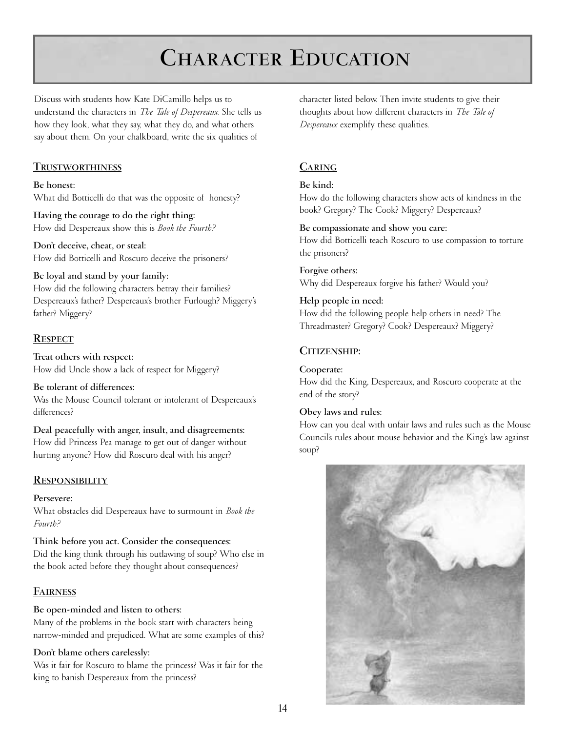# **CHARACTER EDUCATION**

Discuss with students how Kate DiCamillo helps us to understand the characters in *The Tale of Despereaux.* She tells us how they look, what they say, what they do, and what others say about them. On your chalkboard, write the six qualities of

### **TRUSTWORTHINESS**

**Be honest:**  What did Botticelli do that was the opposite of honesty?

**Having the courage to do the right thing:**  How did Despereaux show this is *Book the Fourth?*

**Don't deceive, cheat, or steal:**  How did Botticelli and Roscuro deceive the prisoners?

#### **Be loyal and stand by your family:**

How did the following characters betray their families? Despereaux's father? Despereaux's brother Furlough? Miggery's father? Miggery?

### **RESPECT**

**Treat others with respect:** How did Uncle show a lack of respect for Miggery?

**Be tolerant of differences:**  Was the Mouse Council tolerant or intolerant of Despereaux's

differences? **Deal peacefully with anger, insult, and disagreements:** 

How did Princess Pea manage to get out of danger without hurting anyone? How did Roscuro deal with his anger?

### **RESPONSIBILITY**

### **Persevere:**

What obstacles did Despereaux have to surmount in *Book the Fourth?*

**Think before you act. Consider the consequences:**  Did the king think through his outlawing of soup? Who else in the book acted before they thought about consequences?

### **FAIRNESS**

### **Be open-minded and listen to others:**

Many of the problems in the book start with characters being narrow-minded and prejudiced. What are some examples of this?

### **Don't blame others carelessly:**

Was it fair for Roscuro to blame the princess? Was it fair for the king to banish Despereaux from the princess?

character listed below. Then invite students to give their thoughts about how different characters in *The Tale of Despereaux* exemplify these qualities.

### **CARING**

### **Be kind:**

How do the following characters show acts of kindness in the book? Gregory? The Cook? Miggery? Despereaux?

#### **Be compassionate and show you care:**

How did Botticelli teach Roscuro to use compassion to torture the prisoners?

**Forgive others:**  Why did Despereaux forgive his father? Would you?

### **Help people in need:**

How did the following people help others in need? The Threadmaster? Gregory? Cook? Despereaux? Miggery?

### **CITIZENSHIP:**

### **Cooperate:**

How did the King, Despereaux, and Roscuro cooperate at the end of the story?

### **Obey laws and rules:**

How can you deal with unfair laws and rules such as the Mouse Council's rules about mouse behavior and the King's law against soup?

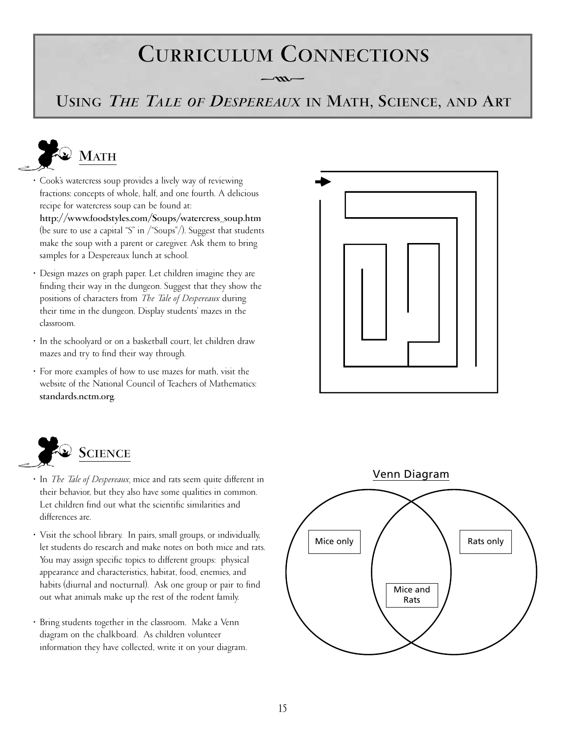# **CURRICULUM CONNECTIONS**

**USING** *THE TALE OF DESPEREAUX* **IN MATH, SCIENCE, AND ART**

 $-m<sub>r</sub>$ 



- Cook's watercress soup provides a lively way of reviewing fractions: concepts of whole, half, and one fourth. A delicious recipe for watercress soup can be found at:
	- **http://www.foodstyles.com/Soups/watercress\_soup.htm**  (be sure to use a capital "S" in /"Soups"/). Suggest that students make the soup with a parent or caregiver. Ask them to bring samples for a Despereaux lunch at school.
- Design mazes on graph paper. Let children imagine they are finding their way in the dungeon. Suggest that they show the positions of characters from *The Tale of Despereaux* during their time in the dungeon. Display students' mazes in the classroom.
- In the schoolyard or on a basketball court, let children draw mazes and try to find their way through.
- For more examples of how to use mazes for math, visit the website of the National Council of Teachers of Mathematics: **standards.nctm.org**.





- In *The Tale of Despereaux,* mice and rats seem quite different in their behavior, but they also have some qualities in common. Let children find out what the scientific similarities and differences are.
- Visit the school library. In pairs, small groups, or individually, let students do research and make notes on both mice and rats. You may assign specific topics to different groups: physical appearance and characteristics, habitat, food, enemies, and habits (diurnal and nocturnal). Ask one group or pair to find out what animals make up the rest of the rodent family.
- Bring students together in the classroom. Make a Venn diagram on the chalkboard. As children volunteer information they have collected, write it on your diagram.

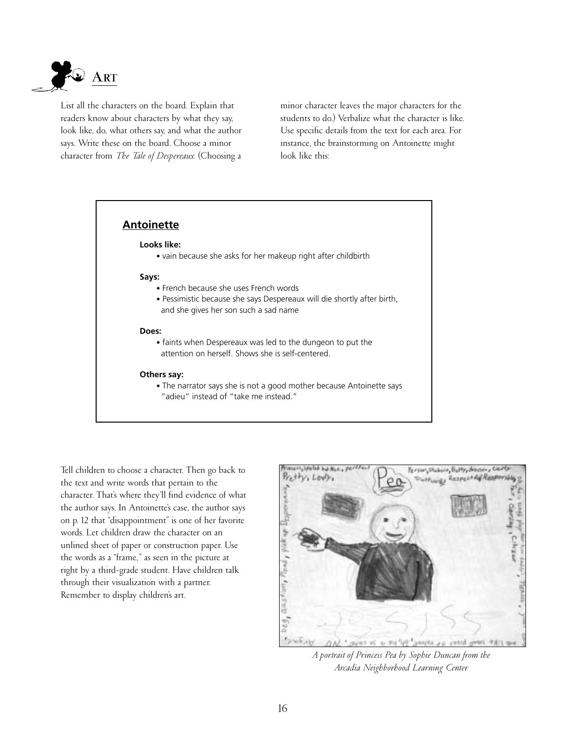

List all the characters on the board. Explain that readers know about characters by what they say, look like, do, what others say, and what the author says. Write these on the board. Choose a minor character from *The Tale of Despereaux.* (Choosing a

minor character leaves the major characters for the students to do.) Verbalize what the character is like. Use specific details from the text for each area. For instance, the brainstorming on Antoinette might look like this:



Tell children to choose a character. Then go back to the text and write words that pertain to the character. That's where they'll find evidence of what the author says. In Antoinette's case, the author says on p. 12 that "disappointment" is one of her favorite words. Let children draw the character on an unlined sheet of paper or construction paper. Use the words as a "frame," as seen in the picture at right by a third-grade student. Have children talk through their visualization with a partner. Remember to display children's art.



*A portrait of Princess Pea by Sophie Duncan from the Arcadia Neighborhood Learning Center.*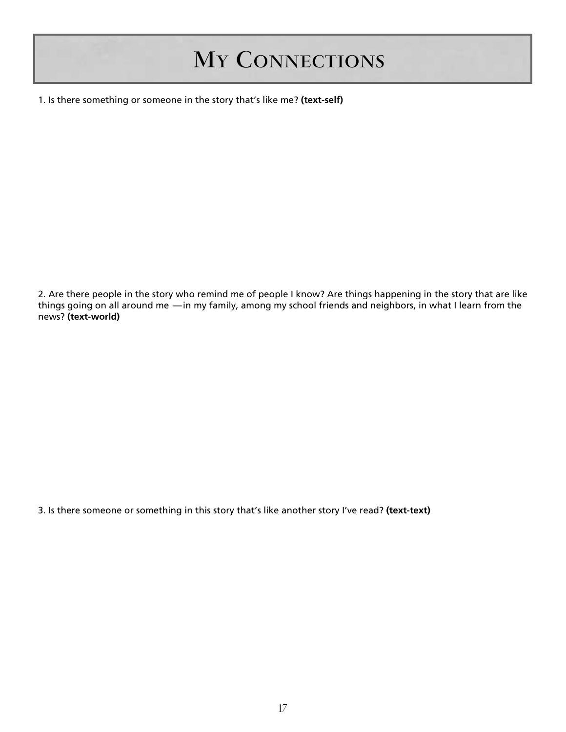# **MY CONNECTIONS**

1. Is there something or someone in the story that's like me? **(text-self)**

2. Are there people in the story who remind me of people I know? Are things happening in the story that are like things going on all around me —in my family, among my school friends and neighbors, in what I learn from the news? **(text-world)**

3. Is there someone or something in this story that's like another story I've read? **(text-text)**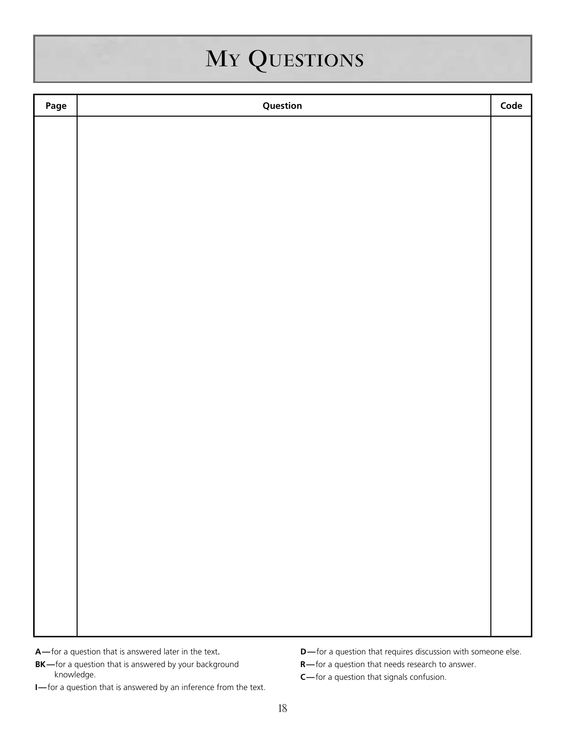# **MY QUESTIONS**

| Page | Question | Code |
|------|----------|------|
|      |          |      |
|      |          |      |
|      |          |      |
|      |          |      |
|      |          |      |
|      |          |      |
|      |          |      |
|      |          |      |
|      |          |      |
|      |          |      |
|      |          |      |
|      |          |      |
|      |          |      |
|      |          |      |
|      |          |      |
|      |          |      |
|      |          |      |
|      |          |      |
|      |          |      |
|      |          |      |
|      |          |      |
|      |          |      |
|      |          |      |
|      |          |      |

- **A—**for a question that is answered later in the text.
- **BK—**for a question that is answered by your background knowledge.
- **I—**for a question that is answered by an inference from the text.
- **D**—for a question that requires discussion with someone else.
- **R—**for a question that needs research to answer.
- **C—**for a question that signals confusion.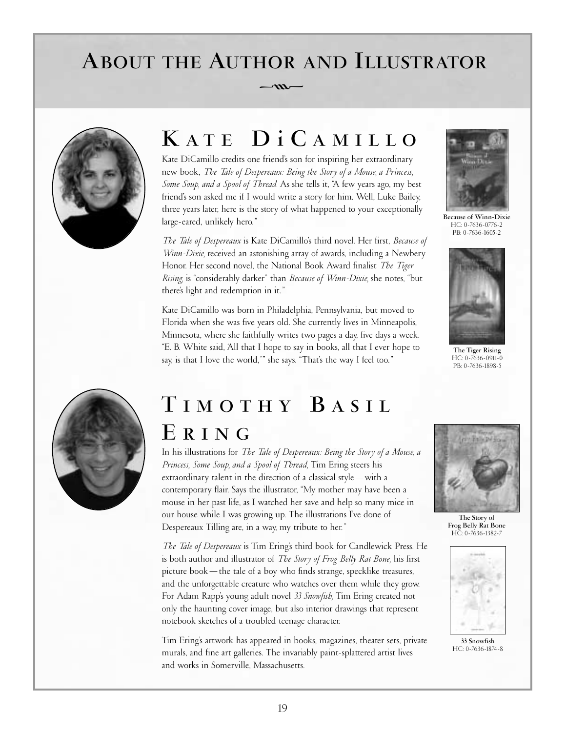# **ABOUT THE AUTHOR AND ILLUSTRATOR**  $-\infty$



# **K ATE DiC AMILLO**

Kate DiCamillo credits one friend's son for inspiring her extraordinary new book, *The Tale of Despereaux: Being the Story of a Mouse, a Princess, Some Soup, and a Spool of Thread.* As she tells it, "A few years ago, my best friend's son asked me if I would write a story for him. Well, Luke Bailey, three years later, here is the story of what happened to your exceptionally large-eared, unlikely hero."

*The Tale of Despereaux* is Kate DiCamillo's third novel. Her first, *Because of Winn-Dixie,* received an astonishing array of awards, including a Newbery Honor. Her second novel, the National Book Award finalist *The Tiger Rising,* is "considerably darker" than *Because of Winn-Dixie,* she notes, "but there's light and redemption in it."

Kate DiCamillo was born in Philadelphia, Pennsylvania, but moved to Florida when she was five years old. She currently lives in Minneapolis, Minnesota, where she faithfully writes two pages a day, five days a week. "E. B. White said, 'All that I hope to say in books, all that I ever hope to say, is that I love the world,'" she says. "That's the way I feel too."



**Because of Winn-Dixie** HC: 0-7636-0776-2 PB: 0-7636-1605-2



**The Tiger Rising** HC: 0-7636-0911-0 PB: 0-7636-1898-5



## **T IMOTHY B ASIL E RING**

In his illustrations for *The Tale of Despereaux: Being the Story of a Mouse, a Princess, Some Soup, and a Spool of Thread,* Tim Ering steers his extraordinary talent in the direction of a classical style—with a contemporary flair. Says the illustrator, "My mother may have been a mouse in her past life, as I watched her save and help so many mice in our house while I was growing up. The illustrations I've done of Despereaux Tilling are, in a way, my tribute to her."

*The Tale of Despereaux* is Tim Ering's third book for Candlewick Press. He is both author and illustrator of *The Story of Frog Belly Rat Bone,* his first picture book—the tale of a boy who finds strange, specklike treasures, and the unforgettable creature who watches over them while they grow. For Adam Rapp's young adult novel *33 Snowfish,* Tim Ering created not only the haunting cover image, but also interior drawings that represent notebook sketches of a troubled teenage character.

Tim Ering's artwork has appeared in books, magazines, theater sets, private murals, and fine art galleries. The invariably paint-splattered artist lives and works in Somerville, Massachusetts.



**The Story of Frog Belly Rat Bone** HC: 0-7636-1382-7



**33 Snowfish** HC: 0-7636-1874-8